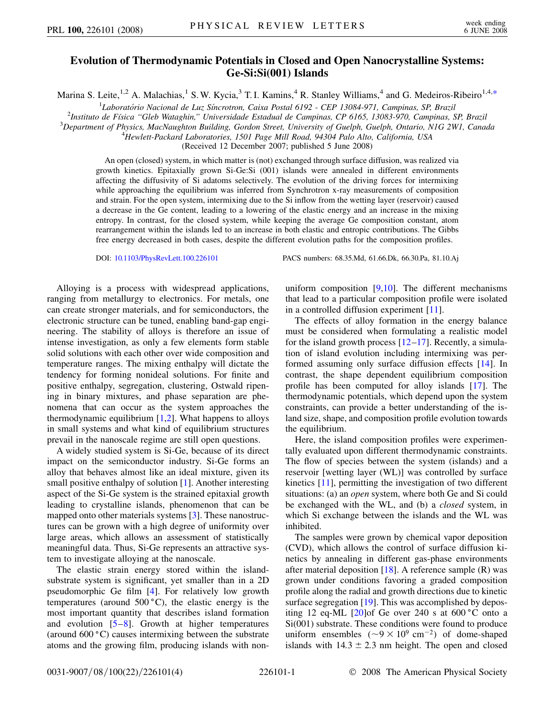## **Evolution of Thermodynamic Potentials in Closed and Open Nanocrystalline Systems: Ge-Si:Si(001) Islands**

<span id="page-0-0"></span>Marina S. Leite,<sup>1,2</sup> A. Malachias,<sup>1</sup> S. W. Kycia,<sup>3</sup> T. I. Kamins,<sup>4</sup> R. Stanley Williams,<sup>4</sup> and G. Medeiros-Ribeiro<sup>1,4,[\\*](#page-3-0)</sup>

<sup>1</sup>Laboratório Nacional de Luz Síncrotron, Caixa Postal 6192 - CEP 13084-971, Campinas, SP, Brazil<sup>1</sup><br><sup>2</sup>Instituto de Eísica "Gleb Watashin" Universidade Estadual de Campinas, CP 6165, 13083-970, Campinas, S<sup>2</sup>

*Instituto de Fı´sica ''Gleb Wataghin,'' Universidade Estadual de Campinas, CP 6165, 13083-970, Campinas, SP, Brazil* <sup>3</sup>

*Department of Physics, MacNaughton Building, Gordon Street, University of Guelph, Guelph, Ontario, N1G 2W1, Canada* <sup>4</sup>

*Hewlett-Packard Laboratories, 1501 Page Mill Road, 94304 Palo Alto, California, USA*

(Received 12 December 2007; published 5 June 2008)

An open (closed) system, in which matter is (not) exchanged through surface diffusion, was realized via growth kinetics. Epitaxially grown Si-Ge:Si (001) islands were annealed in different environments affecting the diffusivity of Si adatoms selectively. The evolution of the driving forces for intermixing while approaching the equilibrium was inferred from Synchrotron x-ray measurements of composition and strain. For the open system, intermixing due to the Si inflow from the wetting layer (reservoir) caused a decrease in the Ge content, leading to a lowering of the elastic energy and an increase in the mixing entropy. In contrast, for the closed system, while keeping the average Ge composition constant, atom rearrangement within the islands led to an increase in both elastic and entropic contributions. The Gibbs free energy decreased in both cases, despite the different evolution paths for the composition profiles.

DOI: [10.1103/PhysRevLett.100.226101](http://dx.doi.org/10.1103/PhysRevLett.100.226101) PACS numbers: 68.35.Md, 61.66.Dk, 66.30.Pa, 81.10.Aj

Alloying is a process with widespread applications, ranging from metallurgy to electronics. For metals, one can create stronger materials, and for semiconductors, the electronic structure can be tuned, enabling band-gap engineering. The stability of alloys is therefore an issue of intense investigation, as only a few elements form stable solid solutions with each other over wide composition and temperature ranges. The mixing enthalpy will dictate the tendency for forming nonideal solutions. For finite and positive enthalpy, segregation, clustering, Ostwald ripening in binary mixtures, and phase separation are phenomena that can occur as the system approaches the thermodynamic equilibrium  $[1,2]$  $[1,2]$  $[1,2]$  $[1,2]$ . What happens to alloys in small systems and what kind of equilibrium structures prevail in the nanoscale regime are still open questions.

A widely studied system is Si-Ge, because of its direct impact on the semiconductor industry. Si-Ge forms an alloy that behaves almost like an ideal mixture, given its small positive enthalpy of solution [\[1](#page-3-1)]. Another interesting aspect of the Si-Ge system is the strained epitaxial growth leading to crystalline islands, phenomenon that can be mapped onto other materials systems [[3](#page-3-3)]. These nanostructures can be grown with a high degree of uniformity over large areas, which allows an assessment of statistically meaningful data. Thus, Si-Ge represents an attractive system to investigate alloying at the nanoscale.

The elastic strain energy stored within the islandsubstrate system is significant, yet smaller than in a 2D pseudomorphic Ge film [\[4\]](#page-3-4). For relatively low growth temperatures (around  $500\text{°C}$ ), the elastic energy is the most important quantity that describes island formation and evolution [\[5](#page-3-5)–[8\]](#page-3-6). Growth at higher temperatures (around  $600\degree C$ ) causes intermixing between the substrate atoms and the growing film, producing islands with nonuniform composition  $[9,10]$  $[9,10]$  $[9,10]$  $[9,10]$ . The different mechanisms that lead to a particular composition profile were isolated in a controlled diffusion experiment [[11](#page-3-9)].

The effects of alloy formation in the energy balance must be considered when formulating a realistic model for the island growth process  $[12-17]$  $[12-17]$  $[12-17]$  $[12-17]$ . Recently, a simulation of island evolution including intermixing was performed assuming only surface diffusion effects [\[14\]](#page-3-12). In contrast, the shape dependent equilibrium composition profile has been computed for alloy islands [[17](#page-3-11)]. The thermodynamic potentials, which depend upon the system constraints, can provide a better understanding of the island size, shape, and composition profile evolution towards the equilibrium.

Here, the island composition profiles were experimentally evaluated upon different thermodynamic constraints. The flow of species between the system (islands) and a reservoir [wetting layer (WL)] was controlled by surface kinetics [\[11\]](#page-3-9), permitting the investigation of two different situations: (a) an *open* system, where both Ge and Si could be exchanged with the WL, and (b) a *closed* system, in which Si exchange between the islands and the WL was inhibited.

The samples were grown by chemical vapor deposition (CVD), which allows the control of surface diffusion kinetics by annealing in different gas-phase environments after material deposition  $[18]$  $[18]$  $[18]$ . A reference sample  $(R)$  was grown under conditions favoring a graded composition profile along the radial and growth directions due to kinetic surface segregation [\[19\]](#page-3-14). This was accomplished by depositing 12 eq-ML  $[20]$  $[20]$  $[20]$ of Ge over 240 s at 600 °C onto a Si(001) substrate. These conditions were found to produce uniform ensembles  $({\sim}9 \times 10^{9} \text{ cm}^{-2})$  of dome-shaped islands with  $14.3 \pm 2.3$  nm height. The open and closed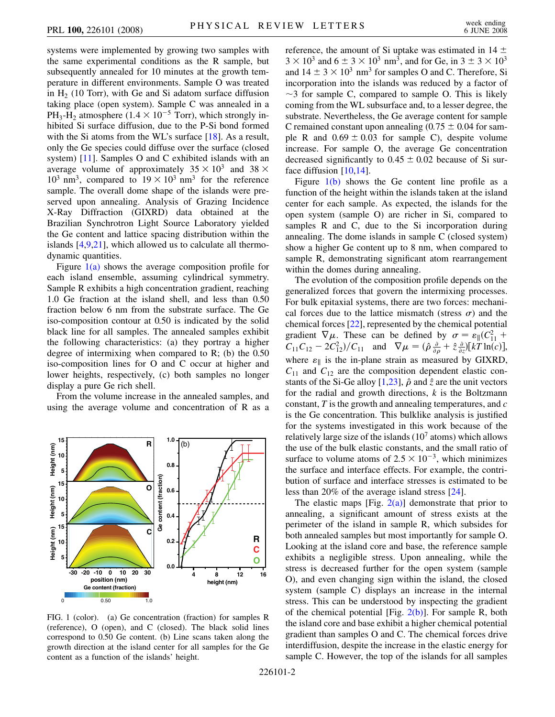systems were implemented by growing two samples with the same experimental conditions as the R sample, but subsequently annealed for 10 minutes at the growth temperature in different environments. Sample O was treated in  $H<sub>2</sub>$  (10 Torr), with Ge and Si adatom surface diffusion taking place (open system). Sample C was annealed in a PH<sub>3</sub>-H<sub>2</sub> atmosphere (1.4  $\times$  10<sup>-5</sup> Torr), which strongly inhibited Si surface diffusion, due to the P-Si bond formed with the Si atoms from the WL's surface [[18](#page-3-13)]. As a result, only the Ge species could diffuse over the surface (closed system) [\[11\]](#page-3-9). Samples O and C exhibited islands with an average volume of approximately  $35 \times 10^3$  and  $38 \times$  $10^3$  nm<sup>3</sup>, compared to  $19 \times 10^3$  nm<sup>3</sup> for the reference sample. The overall dome shape of the islands were preserved upon annealing. Analysis of Grazing Incidence X-Ray Diffraction (GIXRD) data obtained at the Brazilian Synchrotron Light Source Laboratory yielded the Ge content and lattice spacing distribution within the islands [\[4,](#page-3-4)[9](#page-3-7)[,21](#page-3-16)], which allowed us to calculate all thermodynamic quantities.

Figure  $1(a)$  shows the average composition profile for each island ensemble, assuming cylindrical symmetry. Sample R exhibits a high concentration gradient, reaching 1.0 Ge fraction at the island shell, and less than 0.50 fraction below 6 nm from the substrate surface. The Ge iso-composition contour at 0.50 is indicated by the solid black line for all samples. The annealed samples exhibit the following characteristics: (a) they portray a higher degree of intermixing when compared to  $R$ ; (b) the  $0.50$ iso-composition lines for O and C occur at higher and lower heights, respectively, (c) both samples no longer display a pure Ge rich shell.

From the volume increase in the annealed samples, and using the average volume and concentration of R as a



<span id="page-1-0"></span>FIG. 1 (color). (a) Ge concentration (fraction) for samples R (reference), O (open), and C (closed). The black solid lines correspond to 0.50 Ge content. (b) Line scans taken along the growth direction at the island center for all samples for the Ge content as a function of the islands' height.

reference, the amount of Si uptake was estimated in 14  $\pm$  $3 \times 10^3$  and  $6 \pm 3 \times 10^3$  nm<sup>3</sup>, and for Ge, in  $3 \pm 3 \times 10^3$ and  $14 \pm 3 \times 10^3$  nm<sup>3</sup> for samples O and C. Therefore, Si incorporation into the islands was reduced by a factor of  $\sim$ 3 for sample C, compared to sample O. This is likely coming from the WL subsurface and, to a lesser degree, the substrate. Nevertheless, the Ge average content for sample C remained constant upon annealing  $(0.75 \pm 0.04$  for sample R and  $0.69 \pm 0.03$  for sample C), despite volume increase. For sample O, the average Ge concentration decreased significantly to  $0.45 \pm 0.02$  because of Si sur-face diffusion [[10](#page-3-8),[14](#page-3-12)].

Figure [1\(b\)](#page-1-0) shows the Ge content line profile as a function of the height within the islands taken at the island center for each sample. As expected, the islands for the open system (sample O) are richer in Si, compared to samples R and C, due to the Si incorporation during annealing. The dome islands in sample C (closed system) show a higher Ge content up to 8 nm, when compared to sample R, demonstrating significant atom rearrangement within the domes during annealing.

The evolution of the composition profile depends on the generalized forces that govern the intermixing processes. For bulk epitaxial systems, there are two forces: mechanical forces due to the lattice mismatch (stress  $\sigma$ ) and the chemical forces [\[22\]](#page-3-17), represented by the chemical potential gradient  $\nabla \mu$ . These can be defined by  $\sigma = \varepsilon_{\parallel} (C_{11}^2 +$  $C_{11}C_{12} - 2C_{12}^2$ / $C_{11}$  and  $\nabla \mu = (\hat{\rho} \frac{\partial}{\partial \rho} + \hat{z} \frac{\partial}{\partial z}) [kT \ln(c)],$ where  $\varepsilon_{\parallel}$  is the in-plane strain as measured by GIXRD,  $C_{11}$  and  $C_{12}$  are the composition dependent elastic con-stants of the Si-Ge alloy [[1](#page-3-1),[23](#page-3-18)],  $\hat{\rho}$  and  $\hat{z}$  are the unit vectors for the radial and growth directions, *k* is the Boltzmann constant, *T* is the growth and annealing temperatures, and *c* is the Ge concentration. This bulklike analysis is justified for the systems investigated in this work because of the relatively large size of the islands  $(10<sup>7</sup>$  atoms) which allows the use of the bulk elastic constants, and the small ratio of surface to volume atoms of  $2.5 \times 10^{-3}$ , which minimizes the surface and interface effects. For example, the contribution of surface and interface stresses is estimated to be less than 20% of the average island stress [[24](#page-3-19)].

The elastic maps [Fig.  $2(a)$ ] demonstrate that prior to annealing, a significant amount of stress exists at the perimeter of the island in sample R, which subsides for both annealed samples but most importantly for sample O. Looking at the island core and base, the reference sample exhibits a negligible stress. Upon annealing, while the stress is decreased further for the open system (sample O), and even changing sign within the island, the closed system (sample C) displays an increase in the internal stress. This can be understood by inspecting the gradient of the chemical potential [Fig.  $2(b)$ ]. For sample R, both the island core and base exhibit a higher chemical potential gradient than samples O and C. The chemical forces drive interdiffusion, despite the increase in the elastic energy for sample C. However, the top of the islands for all samples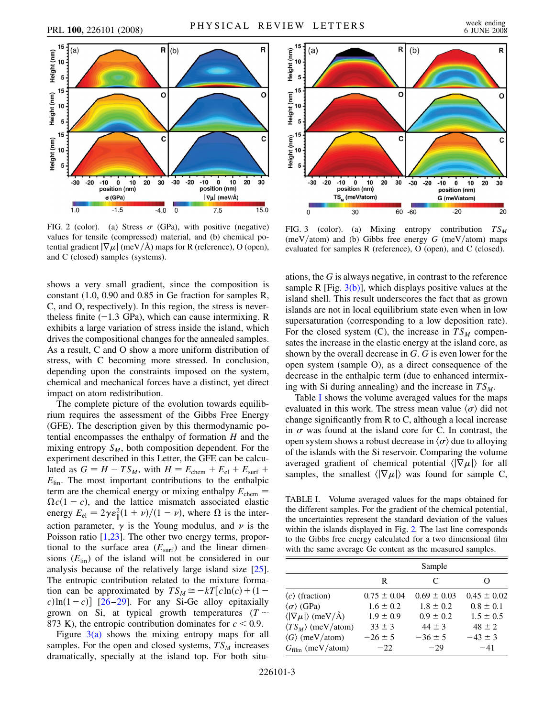<span id="page-2-3"></span>

<span id="page-2-0"></span>FIG. 2 (color). (a) Stress  $\sigma$  (GPa), with positive (negative) values for tensile (compressed) material, and (b) chemical potential gradient  $|\nabla \mu|$  (meV/Å) maps for R (reference), O (open), and C (closed) samples (systems).

shows a very small gradient, since the composition is constant (1.0, 0.90 and 0.85 in Ge fraction for samples R, C, and O, respectively). In this region, the stress is nevertheless finite  $(-1.3 \text{ GPa})$ , which can cause intermixing. R exhibits a large variation of stress inside the island, which drives the compositional changes for the annealed samples. As a result, C and O show a more uniform distribution of stress, with C becoming more stressed. In conclusion, depending upon the constraints imposed on the system, chemical and mechanical forces have a distinct, yet direct impact on atom redistribution.

The complete picture of the evolution towards equilibrium requires the assessment of the Gibbs Free Energy (GFE). The description given by this thermodynamic potential encompasses the enthalpy of formation *H* and the mixing entropy  $S_M$ , both composition dependent. For the experiment described in this Letter, the GFE can be calculated as  $G = H - TS_M$ , with  $H = E_{\text{chem}} + E_{\text{el}} + E_{\text{surf}} +$ *E*lin. The most important contributions to the enthalpic term are the chemical energy or mixing enthalpy  $E_{\text{chem}} =$  $\Omega c(1 - c)$ , and the lattice mismatch associated elastic energy  $E_{el} = 2\gamma \varepsilon_0^2 (1 + \nu)/(1 - \nu)$ , where  $\Omega$  is the interaction parameter,  $\gamma$  is the Young modulus, and  $\nu$  is the Poisson ratio [[1,](#page-3-1)[23](#page-3-18)]. The other two energy terms, proportional to the surface area  $(E_{\text{surf}})$  and the linear dimensions  $(E_{lin})$  of the island will not be considered in our analysis because of the relatively large island size [\[25\]](#page-3-20). The entropic contribution related to the mixture formation can be approximated by  $TS_M \cong -kT[c\ln(c) + (1$  $c)$ ln(1-c)] [\[26](#page-3-21)[–29\]](#page-3-22). For any Si-Ge alloy epitaxially grown on Si, at typical growth temperatures ( $T \sim$ 873 K), the entropic contribution dominates for  $c < 0.9$ .

Figure  $3(a)$  shows the mixing entropy maps for all samples. For the open and closed systems,  $TS_M$  increases dramatically, specially at the island top. For both situ-



<span id="page-2-1"></span>FIG. 3 (color). (a) Mixing entropy contribution  $TS_M$ (meV/atom) and (b) Gibbs free energy  $G$  (meV/atom) maps evaluated for samples R (reference), O (open), and C (closed).

ations, the *G* is always negative, in contrast to the reference sample R [Fig.  $3(b)$ ], which displays positive values at the island shell. This result underscores the fact that as grown islands are not in local equilibrium state even when in low supersaturation (corresponding to a low deposition rate). For the closed system  $(C)$ , the increase in  $TS_M$  compensates the increase in the elastic energy at the island core, as shown by the overall decrease in *G*. *G* is even lower for the open system (sample O), as a direct consequence of the decrease in the enthalpic term (due to enhanced intermixing with Si during annealing) and the increase in  $TS_M$ .

Table [I](#page-2-2) shows the volume averaged values for the maps evaluated in this work. The stress mean value  $\langle \sigma \rangle$  did not change significantly from R to C, although a local increase in  $\sigma$  was found at the island core for C. In contrast, the open system shows a robust decrease in  $\langle \sigma \rangle$  due to alloying of the islands with the Si reservoir. Comparing the volume averaged gradient of chemical potential  $\langle |\nabla \mu| \rangle$  for all samples, the smallest  $\langle |\nabla \mu| \rangle$  was found for sample C,

<span id="page-2-2"></span>TABLE I. Volume averaged values for the maps obtained for the different samples. For the gradient of the chemical potential, the uncertainties represent the standard deviation of the values within the islands displayed in Fig. [2.](#page-2-3) The last line corresponds to the Gibbs free energy calculated for a two dimensional film with the same average Ge content as the measured samples.

|                                        |                 | Sample          |                 |
|----------------------------------------|-----------------|-----------------|-----------------|
|                                        | R               | C               | 0               |
| $\langle c \rangle$ (fraction)         | $0.75 \pm 0.04$ | $0.69 \pm 0.03$ | $0.45 \pm 0.02$ |
| $\langle \sigma \rangle$ (GPa)         | $1.6 \pm 0.2$   | $1.8 \pm 0.2$   | $0.8 \pm 0.1$   |
| $\langle  \nabla \mu  \rangle$ (meV/Å) | $1.9 \pm 0.9$   | $0.9 \pm 0.2$   | $1.5 \pm 0.5$   |
| $\langle TS_M \rangle$ (meV/atom)      | $33 \pm 3$      | $44 \pm 3$      | $48 \pm 2$      |
| $\langle G \rangle$ (meV/atom)         | $-26 \pm 5$     | $-36 \pm 5$     | $-43 \pm 3$     |
| $G_{\text{film}}$ (meV/atom)           | $-22$           | $-29$           | $-41$           |